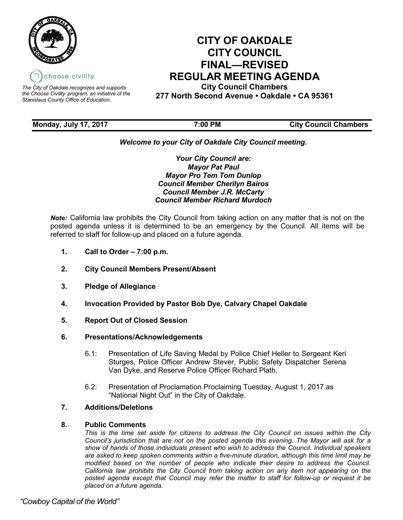

*The City of Oakdale recognizes and supports the Choose Civility program, an initiative of the Stanislaus County Office of Education.*

# **CITY OF OAKDALE CITY COUNCIL FINAL—REVISED REGULAR MEETING AGENDA**

**City Council Chambers 277 North Second Avenue • Oakdale • CA 95361**

**Monday, July 17, 2017 7:00 PM City Council Chambers**

# *Welcome to your City of Oakdale City Council meeting.*

*Your City Council are: Mayor Pat Paul Mayor Pro Tem Tom Dunlop Council Member Cherilyn Bairos Council Member J.R. McCarty Council Member Richard Murdoch*

*Note:* California law prohibits the City Council from taking action on any matter that is not on the posted agenda unless it is determined to be an emergency by the Council. All items will be referred to staff for follow-up and placed on a future agenda.

- **1. Call to Order – 7:00 p.m.**
- **2. City Council Members Present/Absent**
- **3. Pledge of Allegiance**
- **4. Invocation Provided by Pastor Bob Dye, Calvary Chapel Oakdale**
- **5. Report Out of Closed Session**
- **6. Presentations/Acknowledgements**
	- 6.1: Presentation of Life Saving Medal by Police Chief Heller to Sergeant Keri Sturges, Police Officer Andrew Stever, Public Safety Dispatcher Serena Van Dyke, and Reserve Police Officer Richard Plath.
	- 6.2: Presentation of Proclamation Proclaiming Tuesday, August 1, 2017 as "National Night Out" in the City of Oakdale.

# **7. Additions/Deletions**

# **8. Public Comments**

*This is the time set aside for citizens to address the City Council on issues within the City Council's jurisdiction that are not on the posted agenda this evening. The Mayor will ask for a show of hands of those individuals present who wish to address the Council. Individual speakers are asked to keep spoken comments within a five-minute duration, although this time limit may be modified based on the number of people who indicate their desire to address the Council. California law prohibits the City Council from taking action on any item not appearing on the posted agenda except that Council may refer the matter to staff for follow-up or request it be placed on a future agenda.*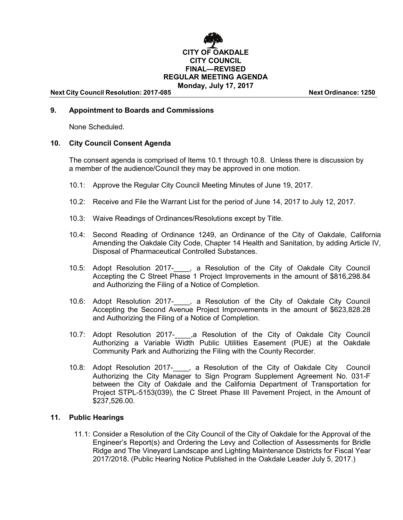

# **9. Appointment to Boards and Commissions**

None Scheduled.

# **10. City Council Consent Agenda**

The consent agenda is comprised of Items 10.1 through 10.8. Unless there is discussion by a member of the audience/Council they may be approved in one motion.

- 10.1: Approve the Regular City Council Meeting Minutes of June 19, 2017.
- 10.2: Receive and File the Warrant List for the period of June 14, 2017 to July 12, 2017.
- 10.3: Waive Readings of Ordinances/Resolutions except by Title.
- 10.4: Second Reading of Ordinance 1249, an Ordinance of the City of Oakdale, California Amending the Oakdale City Code, Chapter 14 Health and Sanitation, by adding Article IV, Disposal of Pharmaceutical Controlled Substances.
- 10.5: Adopt Resolution 2017- , a Resolution of the City of Oakdale City Council Accepting the C Street Phase 1 Project Improvements in the amount of \$816,298.84 and Authorizing the Filing of a Notice of Completion.
- 10.6: Adopt Resolution 2017-\_\_\_\_, a Resolution of the City of Oakdale City Council Accepting the Second Avenue Project Improvements in the amount of \$623,828.28 and Authorizing the Filing of a Notice of Completion.
- 10.7: Adopt Resolution 2017- .a Resolution of the City of Oakdale City Council Authorizing a Variable Width Public Utilities Easement (PUE) at the Oakdale Community Park and Authorizing the Filing with the County Recorder.
- 10.8: Adopt Resolution 2017-\_\_\_\_, a Resolution of the City of Oakdale City Council Authorizing the City Manager to Sign Program Supplement Agreement No. 031-F between the City of Oakdale and the California Department of Transportation for Project STPL-5153(039), the C Street Phase III Pavement Project, in the Amount of \$237,526.00.

# **11. Public Hearings**

11.1: Consider a Resolution of the City Council of the City of Oakdale for the Approval of the Engineer's Report(s) and Ordering the Levy and Collection of Assessments for Bridle Ridge and The Vineyard Landscape and Lighting Maintenance Districts for Fiscal Year 2017/2018. (Public Hearing Notice Published in the Oakdale Leader July 5, 2017.)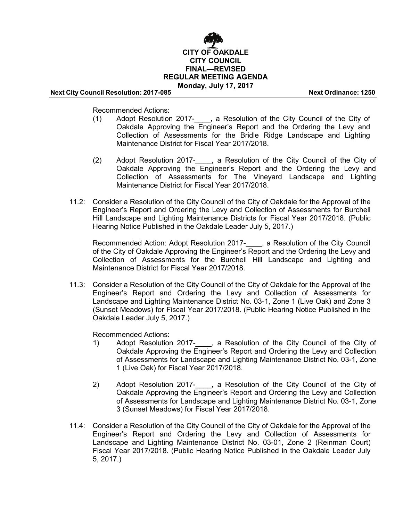

Recommended Actions:

- (1) Adopt Resolution 2017-\_\_\_\_, a Resolution of the City Council of the City of Oakdale Approving the Engineer's Report and the Ordering the Levy and Collection of Assessments for the Bridle Ridge Landscape and Lighting Maintenance District for Fiscal Year 2017/2018.
- (2) Adopt Resolution 2017-\_\_\_\_, a Resolution of the City Council of the City of Oakdale Approving the Engineer's Report and the Ordering the Levy and Collection of Assessments for The Vineyard Landscape and Lighting Maintenance District for Fiscal Year 2017/2018.
- 11.2: Consider a Resolution of the City Council of the City of Oakdale for the Approval of the Engineer's Report and Ordering the Levy and Collection of Assessments for Burchell Hill Landscape and Lighting Maintenance Districts for Fiscal Year 2017/2018. (Public Hearing Notice Published in the Oakdale Leader July 5, 2017.)

Recommended Action: Adopt Resolution 2017- , a Resolution of the City Council of the City of Oakdale Approving the Engineer's Report and the Ordering the Levy and Collection of Assessments for the Burchell Hill Landscape and Lighting and Maintenance District for Fiscal Year 2017/2018.

11.3: Consider a Resolution of the City Council of the City of Oakdale for the Approval of the Engineer's Report and Ordering the Levy and Collection of Assessments for Landscape and Lighting Maintenance District No. 03-1, Zone 1 (Live Oak) and Zone 3 (Sunset Meadows) for Fiscal Year 2017/2018. (Public Hearing Notice Published in the Oakdale Leader July 5, 2017.)

Recommended Actions:

- 1) Adopt Resolution 2017-\_\_\_\_, a Resolution of the City Council of the City of Oakdale Approving the Engineer's Report and Ordering the Levy and Collection of Assessments for Landscape and Lighting Maintenance District No. 03-1, Zone 1 (Live Oak) for Fiscal Year 2017/2018.
- 2) Adopt Resolution 2017-\_\_\_\_, a Resolution of the City Council of the City of Oakdale Approving the Engineer's Report and Ordering the Levy and Collection of Assessments for Landscape and Lighting Maintenance District No. 03-1, Zone 3 (Sunset Meadows) for Fiscal Year 2017/2018.
- 11.4: Consider a Resolution of the City Council of the City of Oakdale for the Approval of the Engineer's Report and Ordering the Levy and Collection of Assessments for Landscape and Lighting Maintenance District No. 03-01, Zone 2 (Reinman Court) Fiscal Year 2017/2018. (Public Hearing Notice Published in the Oakdale Leader July 5, 2017.)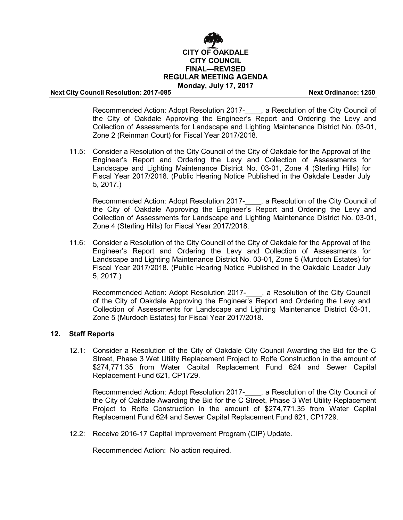

Recommended Action: Adopt Resolution 2017- , a Resolution of the City Council of the City of Oakdale Approving the Engineer's Report and Ordering the Levy and Collection of Assessments for Landscape and Lighting Maintenance District No. 03-01, Zone 2 (Reinman Court) for Fiscal Year 2017/2018.

11.5: Consider a Resolution of the City Council of the City of Oakdale for the Approval of the Engineer's Report and Ordering the Levy and Collection of Assessments for Landscape and Lighting Maintenance District No. 03-01, Zone 4 (Sterling Hills) for Fiscal Year 2017/2018. (Public Hearing Notice Published in the Oakdale Leader July 5, 2017.)

Recommended Action: Adopt Resolution 2017-\_\_\_\_, a Resolution of the City Council of the City of Oakdale Approving the Engineer's Report and Ordering the Levy and Collection of Assessments for Landscape and Lighting Maintenance District No. 03-01, Zone 4 (Sterling Hills) for Fiscal Year 2017/2018.

11.6: Consider a Resolution of the City Council of the City of Oakdale for the Approval of the Engineer's Report and Ordering the Levy and Collection of Assessments for Landscape and Lighting Maintenance District No. 03-01, Zone 5 (Murdoch Estates) for Fiscal Year 2017/2018. (Public Hearing Notice Published in the Oakdale Leader July 5, 2017.)

Recommended Action: Adopt Resolution 2017- , a Resolution of the City Council of the City of Oakdale Approving the Engineer's Report and Ordering the Levy and Collection of Assessments for Landscape and Lighting Maintenance District 03-01, Zone 5 (Murdoch Estates) for Fiscal Year 2017/2018.

# **12. Staff Reports**

12.1: Consider a Resolution of the City of Oakdale City Council Awarding the Bid for the C Street, Phase 3 Wet Utility Replacement Project to Rolfe Construction in the amount of \$274,771.35 from Water Capital Replacement Fund 624 and Sewer Capital Replacement Fund 621, CP1729.

Recommended Action: Adopt Resolution 2017-\_\_\_\_, a Resolution of the City Council of the City of Oakdale Awarding the Bid for the C Street, Phase 3 Wet Utility Replacement Project to Rolfe Construction in the amount of \$274,771.35 from Water Capital Replacement Fund 624 and Sewer Capital Replacement Fund 621, CP1729.

12.2: Receive 2016-17 Capital Improvement Program (CIP) Update.

Recommended Action: No action required.